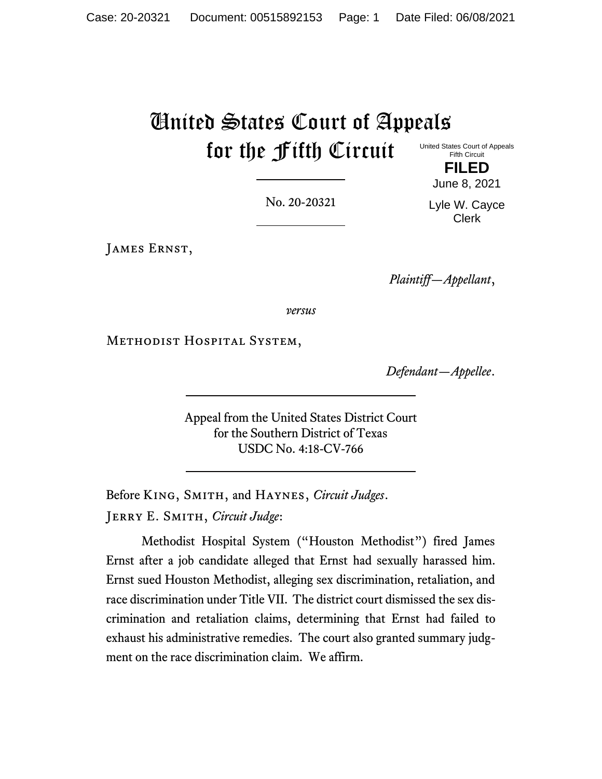# United States Court of Appeals for the Fifth Circuit

United States Court of Appeals Fifth Circuit **FILED**

June 8, 2021

No. 20-20321

Lyle W. Cayce Clerk

James Ernst,

*Plaintiff—Appellant*,

*versus*

Methodist Hospital System,

*Defendant—Appellee*.

Appeal from the United States District Court for the Southern District of Texas USDC No. 4:18-CV-766

Before King, Smith, and Haynes, *Circuit Judges*. Jerry E. Smith, *Circuit Judge*:

Methodist Hospital System ("Houston Methodist") fired James Ernst after a job candidate alleged that Ernst had sexually harassed him. Ernst sued Houston Methodist, alleging sex discrimination, retaliation, and race discrimination under Title VII. The district court dismissed the sex discrimination and retaliation claims, determining that Ernst had failed to exhaust his administrative remedies. The court also granted summary judgment on the race discrimination claim. We affirm.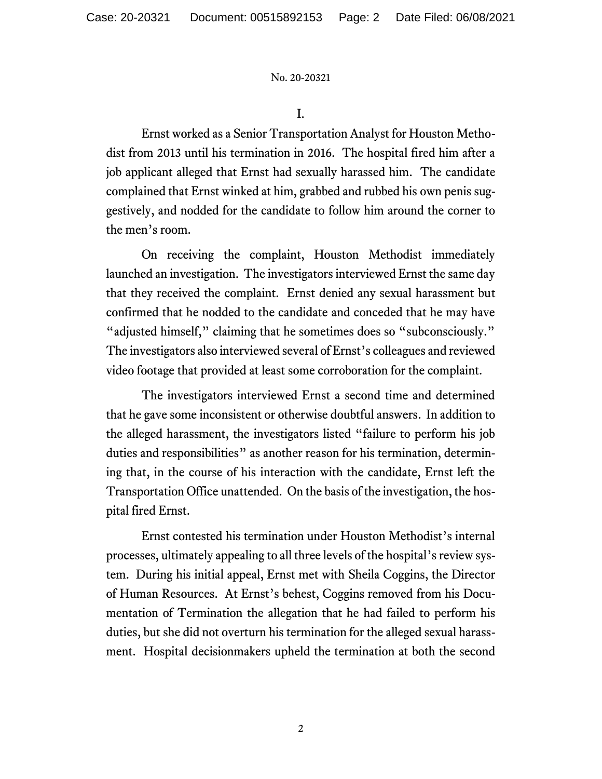I.

Ernst worked as a Senior Transportation Analyst for Houston Methodist from 2013 until his termination in 2016. The hospital fired him after a job applicant alleged that Ernst had sexually harassed him. The candidate complained that Ernst winked at him, grabbed and rubbed his own penis suggestively, and nodded for the candidate to follow him around the corner to the men's room.

On receiving the complaint, Houston Methodist immediately launched an investigation. The investigators interviewed Ernst the same day that they received the complaint. Ernst denied any sexual harassment but confirmed that he nodded to the candidate and conceded that he may have "adjusted himself," claiming that he sometimes does so "subconsciously." The investigators also interviewed several of Ernst's colleagues and reviewed video footage that provided at least some corroboration for the complaint.

The investigators interviewed Ernst a second time and determined that he gave some inconsistent or otherwise doubtful answers. In addition to the alleged harassment, the investigators listed "failure to perform his job duties and responsibilities" as another reason for his termination, determining that, in the course of his interaction with the candidate, Ernst left the Transportation Office unattended. On the basis of the investigation, the hospital fired Ernst.

Ernst contested his termination under Houston Methodist's internal processes, ultimately appealing to all three levels of the hospital's review system. During his initial appeal, Ernst met with Sheila Coggins, the Director of Human Resources. At Ernst's behest, Coggins removed from his Documentation of Termination the allegation that he had failed to perform his duties, but she did not overturn his termination for the alleged sexual harassment. Hospital decisionmakers upheld the termination at both the second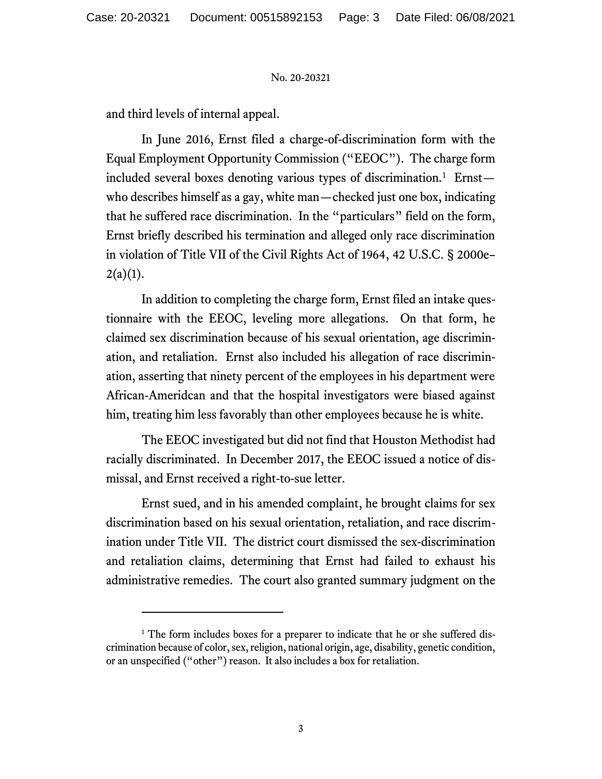and third levels of internal appeal.

In June 2016, Ernst filed a charge-of-discrimination form with the Equal Employment Opportunity Commission ("EEOC"). The charge form included several boxes denoting various types of discrimination.<sup>1</sup> Ernst who describes himself as a gay, white man—checked just one box, indicating that he suffered race discrimination. In the "particulars" field on the form, Ernst briefly described his termination and alleged only race discrimination in violation of Title VII of the Civil Rights Act of 1964, 42 U.S.C. § 2000e–  $2(a)(1)$ .

In addition to completing the charge form, Ernst filed an intake questionnaire with the EEOC, leveling more allegations. On that form, he claimed sex discrimination because of his sexual orientation, age discrimination, and retaliation. Ernst also included his allegation of race discrimination, asserting that ninety percent of the employees in his department were African-Ameridcan and that the hospital investigators were biased against him, treating him less favorably than other employees because he is white.

The EEOC investigated but did not find that Houston Methodist had racially discriminated. In December 2017, the EEOC issued a notice of dismissal, and Ernst received a right-to-sue letter.

Ernst sued, and in his amended complaint, he brought claims for sex discrimination based on his sexual orientation, retaliation, and race discrimination under Title VII. The district court dismissed the sex-discrimination and retaliation claims, determining that Ernst had failed to exhaust his administrative remedies. The court also granted summary judgment on the

<sup>&</sup>lt;sup>1</sup> The form includes boxes for a preparer to indicate that he or she suffered discrimination because of color, sex, religion, national origin, age, disability, genetic condition, or an unspecified ("other") reason. It also includes a box for retaliation.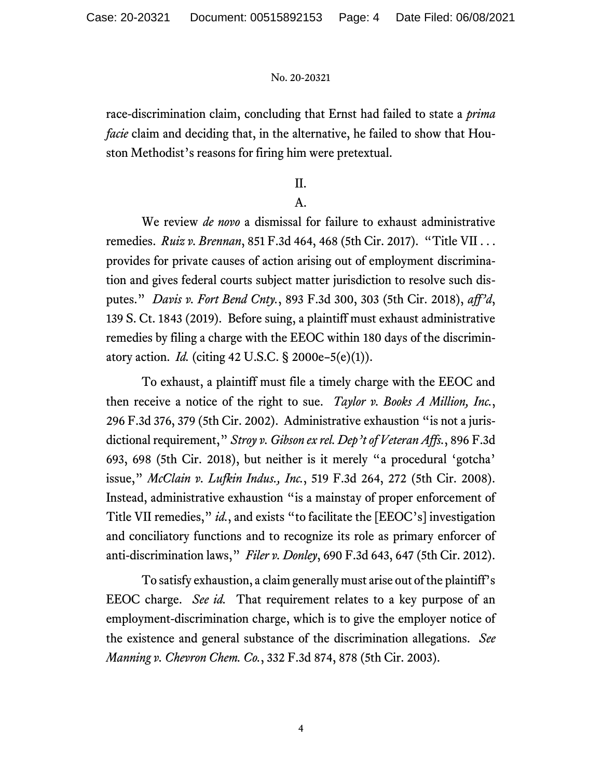race-discrimination claim, concluding that Ernst had failed to state a *prima facie* claim and deciding that, in the alternative, he failed to show that Houston Methodist's reasons for firing him were pretextual.

# II.

# A.

We review *de novo* a dismissal for failure to exhaust administrative remedies. *Ruiz v. Brennan*, 851 F.3d 464, 468 (5th Cir. 2017). "Title VII . . . provides for private causes of action arising out of employment discrimination and gives federal courts subject matter jurisdiction to resolve such disputes." *Davis v. Fort Bend Cnty.*, 893 F.3d 300, 303 (5th Cir. 2018), *aff'd*, 139 S. Ct. 1843 (2019). Before suing, a plaintiff must exhaust administrative remedies by filing a charge with the EEOC within 180 days of the discriminatory action. *Id.* (citing 42 U.S.C. § 2000e–5(e)(1)).

To exhaust, a plaintiff must file a timely charge with the EEOC and then receive a notice of the right to sue. *Taylor v. Books A Million, Inc.*, 296 F.3d 376, 379 (5th Cir. 2002). Administrative exhaustion "is not a jurisdictional requirement," *Stroy v. Gibson ex rel. Dep't of Veteran Affs.*, 896 F.3d 693, 698 (5th Cir. 2018), but neither is it merely "a procedural 'gotcha' issue," *McClain v. Lufkin Indus., Inc.*, 519 F.3d 264, 272 (5th Cir. 2008). Instead, administrative exhaustion "is a mainstay of proper enforcement of Title VII remedies," *id.*, and exists "to facilitate the [EEOC's] investigation and conciliatory functions and to recognize its role as primary enforcer of anti-discrimination laws," *Filer v. Donley*, 690 F.3d 643, 647 (5th Cir. 2012).

To satisfy exhaustion, a claim generally must arise out of the plaintiff's EEOC charge. *See id.* That requirement relates to a key purpose of an employment-discrimination charge, which is to give the employer notice of the existence and general substance of the discrimination allegations. *See Manning v. Chevron Chem. Co.*, 332 F.3d 874, 878 (5th Cir. 2003).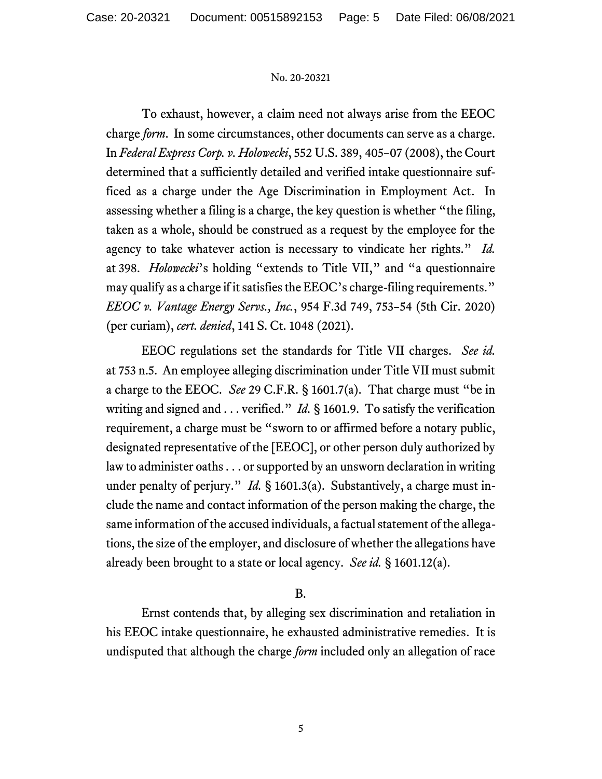To exhaust, however, a claim need not always arise from the EEOC charge *form*. In some circumstances, other documents can serve as a charge. In *Federal Express Corp. v. Holowecki*, 552 U.S. 389, 405–07 (2008), the Court determined that a sufficiently detailed and verified intake questionnaire sufficed as a charge under the Age Discrimination in Employment Act. In assessing whether a filing is a charge, the key question is whether "the filing, taken as a whole, should be construed as a request by the employee for the agency to take whatever action is necessary to vindicate her rights." *Id.* at 398. *Holowecki*'s holding "extends to Title VII," and "a questionnaire may qualify as a charge if it satisfies the EEOC's charge-filing requirements." *EEOC v. Vantage Energy Servs., Inc.*, 954 F.3d 749, 753–54 (5th Cir. 2020) (per curiam), *cert. denied*, 141 S. Ct. 1048 (2021).

EEOC regulations set the standards for Title VII charges. *See id.* at 753 n.5. An employee alleging discrimination under Title VII must submit a charge to the EEOC. *See* 29 C.F.R. § 1601.7(a). That charge must "be in writing and signed and . . . verified." *Id.* § 1601.9. To satisfy the verification requirement, a charge must be "sworn to or affirmed before a notary public, designated representative of the [EEOC], or other person duly authorized by law to administer oaths . . . or supported by an unsworn declaration in writing under penalty of perjury." *Id.* § 1601.3(a). Substantively, a charge must include the name and contact information of the person making the charge, the same information of the accused individuals, a factual statement of the allegations, the size of the employer, and disclosure of whether the allegations have already been brought to a state or local agency. *See id.* § 1601.12(a).

# B.

Ernst contends that, by alleging sex discrimination and retaliation in his EEOC intake questionnaire, he exhausted administrative remedies. It is undisputed that although the charge *form* included only an allegation of race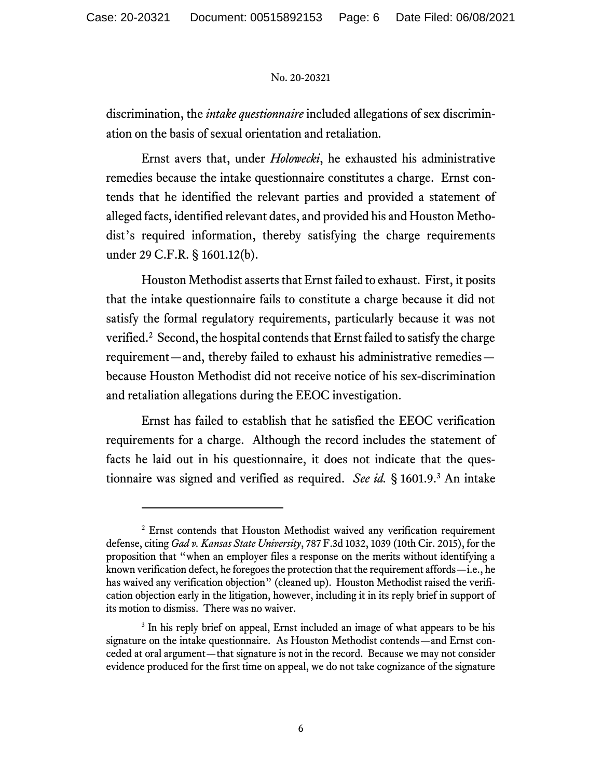discrimination, the *intake questionnaire* included allegations of sex discrimination on the basis of sexual orientation and retaliation.

Ernst avers that, under *Holowecki*, he exhausted his administrative remedies because the intake questionnaire constitutes a charge. Ernst contends that he identified the relevant parties and provided a statement of alleged facts, identified relevant dates, and provided his and Houston Methodist's required information, thereby satisfying the charge requirements under 29 C.F.R. § 1601.12(b).

Houston Methodist asserts that Ernst failed to exhaust. First, it posits that the intake questionnaire fails to constitute a charge because it did not satisfy the formal regulatory requirements, particularly because it was not verified. 2 Second, the hospital contends that Ernst failed to satisfy the charge requirement—and, thereby failed to exhaust his administrative remedies because Houston Methodist did not receive notice of his sex-discrimination and retaliation allegations during the EEOC investigation.

Ernst has failed to establish that he satisfied the EEOC verification requirements for a charge. Although the record includes the statement of facts he laid out in his questionnaire, it does not indicate that the questionnaire was signed and verified as required. *See id.* § 1601.9.<sup>3</sup> An intake

<sup>&</sup>lt;sup>2</sup> Ernst contends that Houston Methodist waived any verification requirement defense, citing *Gad v. Kansas State University*, 787 F.3d 1032, 1039 (10th Cir. 2015), for the proposition that "when an employer files a response on the merits without identifying a known verification defect, he foregoes the protection that the requirement affords—i.e., he has waived any verification objection" (cleaned up). Houston Methodist raised the verification objection early in the litigation, however, including it in its reply brief in support of its motion to dismiss. There was no waiver.

<sup>&</sup>lt;sup>3</sup> In his reply brief on appeal, Ernst included an image of what appears to be his signature on the intake questionnaire. As Houston Methodist contends—and Ernst conceded at oral argument—that signature is not in the record. Because we may not consider evidence produced for the first time on appeal, we do not take cognizance of the signature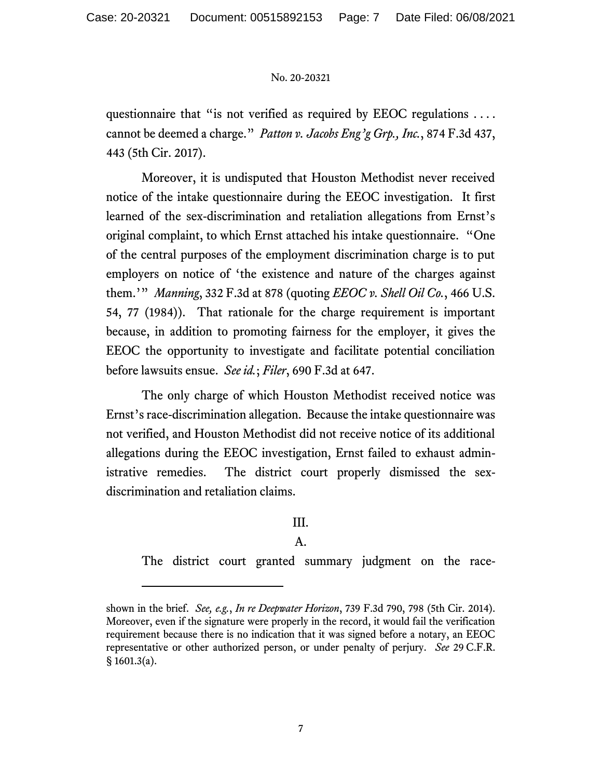questionnaire that "is not verified as required by EEOC regulations . . . . cannot be deemed a charge." *Patton v. Jacobs Eng'g Grp., Inc.*, 874 F.3d 437, 443 (5th Cir. 2017).

Moreover, it is undisputed that Houston Methodist never received notice of the intake questionnaire during the EEOC investigation. It first learned of the sex-discrimination and retaliation allegations from Ernst's original complaint, to which Ernst attached his intake questionnaire. "One of the central purposes of the employment discrimination charge is to put employers on notice of 'the existence and nature of the charges against them.'" *Manning*, 332 F.3d at 878 (quoting *EEOC v. Shell Oil Co.*, 466 U.S. 54, 77 (1984)). That rationale for the charge requirement is important because, in addition to promoting fairness for the employer, it gives the EEOC the opportunity to investigate and facilitate potential conciliation before lawsuits ensue. *See id.*; *Filer*, 690 F.3d at 647.

The only charge of which Houston Methodist received notice was Ernst's race-discrimination allegation. Because the intake questionnaire was not verified, and Houston Methodist did not receive notice of its additional allegations during the EEOC investigation, Ernst failed to exhaust administrative remedies. The district court properly dismissed the sexdiscrimination and retaliation claims.

# III.

# A.

The district court granted summary judgment on the race-

shown in the brief. *See, e.g.*, *In re Deepwater Horizon*, 739 F.3d 790, 798 (5th Cir. 2014). Moreover, even if the signature were properly in the record, it would fail the verification requirement because there is no indication that it was signed before a notary, an EEOC representative or other authorized person, or under penalty of perjury. *See* 29 C.F.R. § 1601.3(a).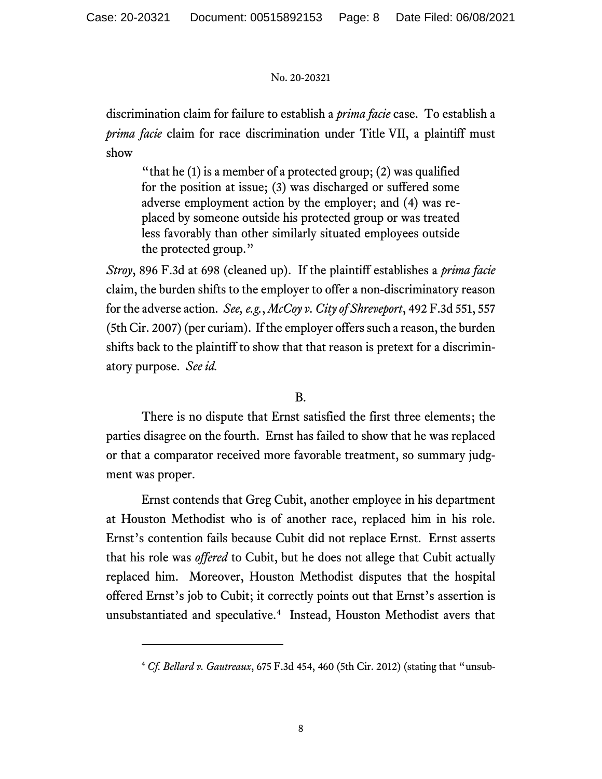discrimination claim for failure to establish a *prima facie* case. To establish a *prima facie* claim for race discrimination under Title VII, a plaintiff must show

"that he  $(1)$  is a member of a protected group;  $(2)$  was qualified for the position at issue; (3) was discharged or suffered some adverse employment action by the employer; and (4) was replaced by someone outside his protected group or was treated less favorably than other similarly situated employees outside the protected group."

*Stroy*, 896 F.3d at 698 (cleaned up). If the plaintiff establishes a *prima facie* claim, the burden shifts to the employer to offer a non-discriminatory reason for the adverse action. *See, e.g.*, *McCoy v. City of Shreveport*, 492 F.3d 551, 557 (5th Cir. 2007) (per curiam). If the employer offers such a reason, the burden shifts back to the plaintiff to show that that reason is pretext for a discriminatory purpose. *See id.*

# B.

There is no dispute that Ernst satisfied the first three elements; the parties disagree on the fourth. Ernst has failed to show that he was replaced or that a comparator received more favorable treatment, so summary judgment was proper.

Ernst contends that Greg Cubit, another employee in his department at Houston Methodist who is of another race, replaced him in his role. Ernst's contention fails because Cubit did not replace Ernst. Ernst asserts that his role was *offered* to Cubit, but he does not allege that Cubit actually replaced him. Moreover, Houston Methodist disputes that the hospital offered Ernst's job to Cubit; it correctly points out that Ernst's assertion is unsubstantiated and speculative.<sup>4</sup> Instead, Houston Methodist avers that

<sup>4</sup> *Cf. Bellard v. Gautreaux*, 675 F.3d 454, 460 (5th Cir. 2012) (stating that "unsub-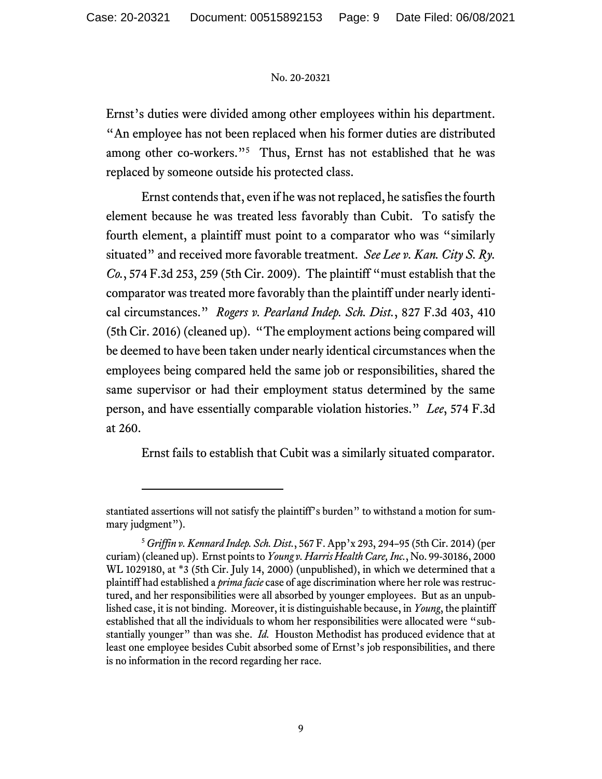Ernst's duties were divided among other employees within his department. "An employee has not been replaced when his former duties are distributed among other co-workers."<sup>5</sup> Thus, Ernst has not established that he was replaced by someone outside his protected class.

Ernst contends that, even if he was not replaced, he satisfies the fourth element because he was treated less favorably than Cubit. To satisfy the fourth element, a plaintiff must point to a comparator who was "similarly situated" and received more favorable treatment. *See Lee v. Kan. City S. Ry. Co.*, 574 F.3d 253, 259 (5th Cir. 2009). The plaintiff "must establish that the comparator was treated more favorably than the plaintiff under nearly identical circumstances." *Rogers v. Pearland Indep. Sch. Dist.*, 827 F.3d 403, 410 (5th Cir. 2016) (cleaned up). "The employment actions being compared will be deemed to have been taken under nearly identical circumstances when the employees being compared held the same job or responsibilities, shared the same supervisor or had their employment status determined by the same person, and have essentially comparable violation histories." *Lee*, 574 F.3d at 260.

Ernst fails to establish that Cubit was a similarly situated comparator.

stantiated assertions will not satisfy the plaintiff's burden" to withstand a motion for summary judgment").

<sup>5</sup> *Griffin v. Kennard Indep. Sch. Dist.*, 567 F. App'x 293, 294–95 (5th Cir. 2014) (per curiam) (cleaned up). Ernst points to*Young v. Harris Health Care, Inc.*, No. 99-30186, 2000 WL 1029180, at \*3 (5th Cir. July 14, 2000) (unpublished), in which we determined that a plaintiff had established a *prima facie* case of age discrimination where her role was restructured, and her responsibilities were all absorbed by younger employees. But as an unpublished case, it is not binding. Moreover, it is distinguishable because, in *Young*, the plaintiff established that all the individuals to whom her responsibilities were allocated were "substantially younger" than was she. *Id.* Houston Methodist has produced evidence that at least one employee besides Cubit absorbed some of Ernst's job responsibilities, and there is no information in the record regarding her race.